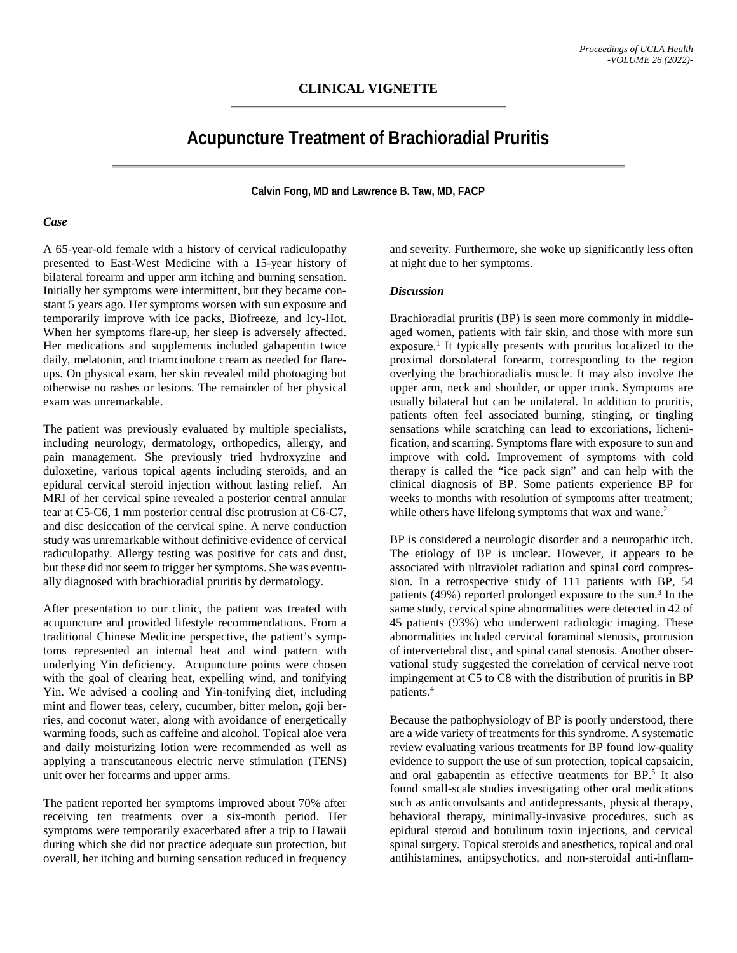# **Acupuncture Treatment of Brachioradial Pruritis**

**Calvin Fong, MD and Lawrence B. Taw, MD, FACP**

#### *Case*

A 65-year-old female with a history of cervical radiculopathy presented to East-West Medicine with a 15-year history of bilateral forearm and upper arm itching and burning sensation. Initially her symptoms were intermittent, but they became constant 5 years ago. Her symptoms worsen with sun exposure and temporarily improve with ice packs, Biofreeze, and Icy-Hot. When her symptoms flare-up, her sleep is adversely affected. Her medications and supplements included gabapentin twice daily, melatonin, and triamcinolone cream as needed for flareups. On physical exam, her skin revealed mild photoaging but otherwise no rashes or lesions. The remainder of her physical exam was unremarkable.

The patient was previously evaluated by multiple specialists, including neurology, dermatology, orthopedics, allergy, and pain management. She previously tried hydroxyzine and duloxetine, various topical agents including steroids, and an epidural cervical steroid injection without lasting relief. An MRI of her cervical spine revealed a posterior central annular tear at C5-C6, 1 mm posterior central disc protrusion at C6-C7, and disc desiccation of the cervical spine. A nerve conduction study was unremarkable without definitive evidence of cervical radiculopathy. Allergy testing was positive for cats and dust, but these did not seem to trigger her symptoms. She was eventually diagnosed with brachioradial pruritis by dermatology.

After presentation to our clinic, the patient was treated with acupuncture and provided lifestyle recommendations. From a traditional Chinese Medicine perspective, the patient's symptoms represented an internal heat and wind pattern with underlying Yin deficiency. Acupuncture points were chosen with the goal of clearing heat, expelling wind, and tonifying Yin. We advised a cooling and Yin-tonifying diet, including mint and flower teas, celery, cucumber, bitter melon, goji berries, and coconut water, along with avoidance of energetically warming foods, such as caffeine and alcohol. Topical aloe vera and daily moisturizing lotion were recommended as well as applying a transcutaneous electric nerve stimulation (TENS) unit over her forearms and upper arms.

The patient reported her symptoms improved about 70% after receiving ten treatments over a six-month period. Her symptoms were temporarily exacerbated after a trip to Hawaii during which she did not practice adequate sun protection, but overall, her itching and burning sensation reduced in frequency and severity. Furthermore, she woke up significantly less often at night due to her symptoms.

### *Discussion*

Brachioradial pruritis (BP) is seen more commonly in middleaged women, patients with fair skin, and those with more sun exposure. <sup>1</sup> It typically presents with pruritus localized to the proximal dorsolateral forearm, corresponding to the region overlying the brachioradialis muscle. It may also involve the upper arm, neck and shoulder, or upper trunk. Symptoms are usually bilateral but can be unilateral. In addition to pruritis, patients often feel associated burning, stinging, or tingling sensations while scratching can lead to excoriations, lichenification, and scarring. Symptoms flare with exposure to sun and improve with cold. Improvement of symptoms with cold therapy is called the "ice pack sign" and can help with the clinical diagnosis of BP. Some patients experience BP for weeks to months with resolution of symptoms after treatment; while others have lifelong symptoms that wax and wane.<sup>2</sup>

BP is considered a neurologic disorder and a neuropathic itch. The etiology of BP is unclear. However, it appears to be associated with ultraviolet radiation and spinal cord compression. In a retrospective study of 111 patients with BP, 54 patients (49%) reported prolonged exposure to the sun. <sup>3</sup> In the same study, cervical spine abnormalities were detected in 42 of 45 patients (93%) who underwent radiologic imaging. These abnormalities included cervical foraminal stenosis, protrusion of intervertebral disc, and spinal canal stenosis. Another observational study suggested the correlation of cervical nerve root impingement at C5 to C8 with the distribution of pruritis in BP patients. 4

Because the pathophysiology of BP is poorly understood, there are a wide variety of treatments for this syndrome. A systematic review evaluating various treatments for BP found low-quality evidence to support the use of sun protection, topical capsaicin, and oral gabapentin as effective treatments for BP. <sup>5</sup> It also found small-scale studies investigating other oral medications such as anticonvulsants and antidepressants, physical therapy, behavioral therapy, minimally-invasive procedures, such as epidural steroid and botulinum toxin injections, and cervical spinal surgery. Topical steroids and anesthetics, topical and oral antihistamines, antipsychotics, and non-steroidal anti-inflam-